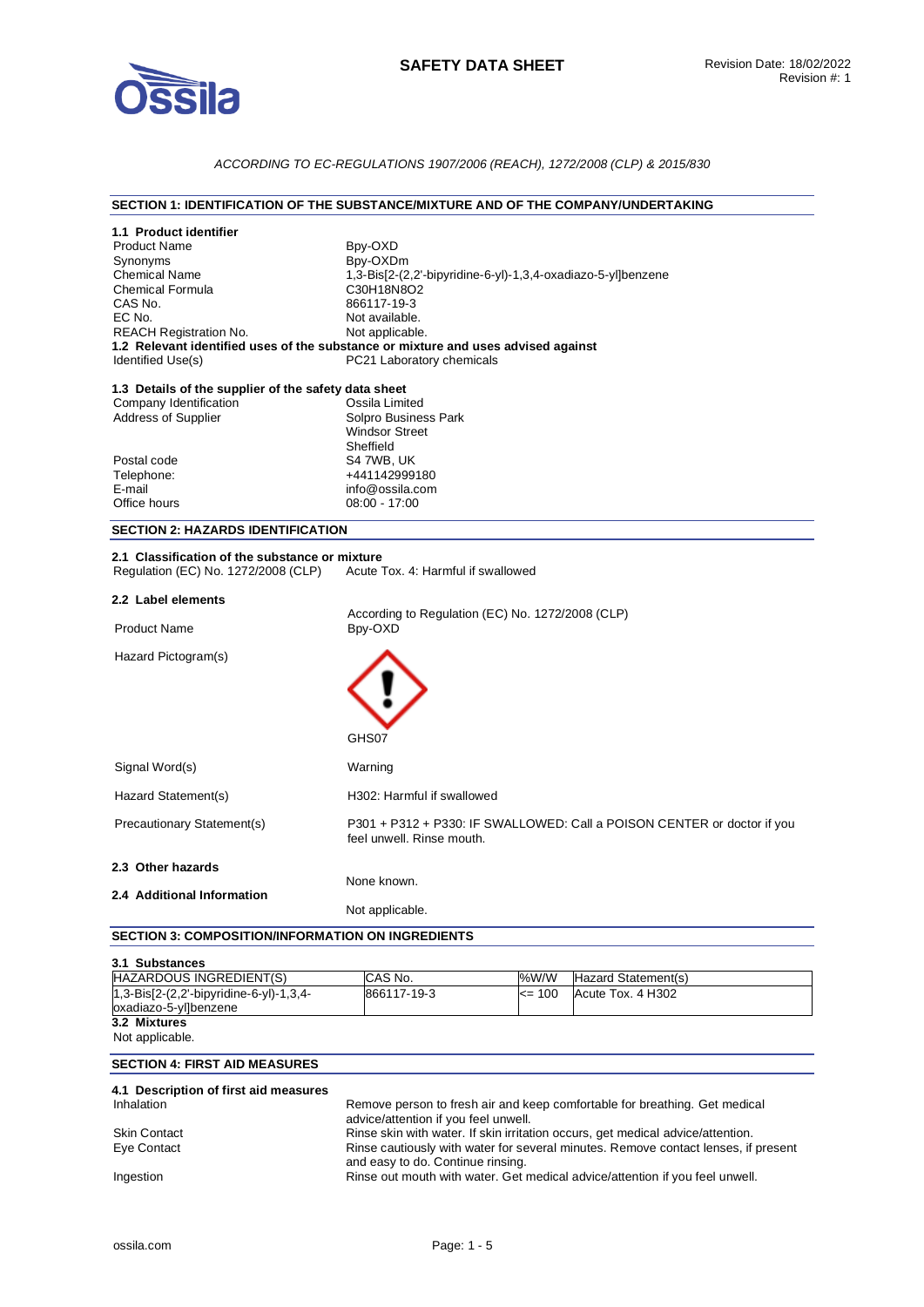

## *ACCORDING TO EC-REGULATIONS 1907/2006 (REACH), 1272/2008 (CLP) & 2015/830*

## **SECTION 1: IDENTIFICATION OF THE SUBSTANCE/MIXTURE AND OF THE COMPANY/UNDERTAKING**

| 1.1 Product identifier<br><b>Product Name</b><br>Synonyms<br><b>Chemical Name</b><br><b>Chemical Formula</b><br>CAS No.<br>EC No.<br><b>REACH Registration No.</b><br>Identified Use(s)<br>1.3 Details of the supplier of the safety data sheet<br>Company Identification | Bpy-OXD<br>Bpy-OXDm<br>1,3-Bis[2-(2,2'-bipyridine-6-yl)-1,3,4-oxadiazo-5-yl]benzene<br>C30H18N8O2<br>866117-19-3<br>Not available.<br>Not applicable.<br>1.2 Relevant identified uses of the substance or mixture and uses advised against<br>PC21 Laboratory chemicals<br>Ossila Limited |  |  |
|---------------------------------------------------------------------------------------------------------------------------------------------------------------------------------------------------------------------------------------------------------------------------|-------------------------------------------------------------------------------------------------------------------------------------------------------------------------------------------------------------------------------------------------------------------------------------------|--|--|
| Address of Supplier                                                                                                                                                                                                                                                       | Solpro Business Park<br><b>Windsor Street</b><br>Sheffield                                                                                                                                                                                                                                |  |  |
| Postal code                                                                                                                                                                                                                                                               | S4 7WB, UK                                                                                                                                                                                                                                                                                |  |  |
| Telephone:                                                                                                                                                                                                                                                                | +441142999180                                                                                                                                                                                                                                                                             |  |  |
| E-mail                                                                                                                                                                                                                                                                    | info@ossila.com                                                                                                                                                                                                                                                                           |  |  |
| Office hours                                                                                                                                                                                                                                                              | $08:00 - 17:00$                                                                                                                                                                                                                                                                           |  |  |
| <b>SECTION 2: HAZARDS IDENTIFICATION</b>                                                                                                                                                                                                                                  |                                                                                                                                                                                                                                                                                           |  |  |
| 2.1 Classification of the substance or mixture<br>Regulation (EC) No. 1272/2008 (CLP)                                                                                                                                                                                     | Acute Tox, 4: Harmful if swallowed                                                                                                                                                                                                                                                        |  |  |
| 2.2 Label elements<br>According to Regulation (EC) No. 1272/2008 (CLP)                                                                                                                                                                                                    |                                                                                                                                                                                                                                                                                           |  |  |
| <b>Product Name</b>                                                                                                                                                                                                                                                       | Bpy-OXD                                                                                                                                                                                                                                                                                   |  |  |
| Hazard Pictogram(s)                                                                                                                                                                                                                                                       | GHS07                                                                                                                                                                                                                                                                                     |  |  |
| Signal Word(s)                                                                                                                                                                                                                                                            | Warning                                                                                                                                                                                                                                                                                   |  |  |
| Hazard Statement(s)                                                                                                                                                                                                                                                       | H302: Harmful if swallowed                                                                                                                                                                                                                                                                |  |  |
| Precautionary Statement(s)                                                                                                                                                                                                                                                | P301 + P312 + P330: IF SWALLOWED: Call a POISON CENTER or doctor if you<br>feel unwell. Rinse mouth.                                                                                                                                                                                      |  |  |
| 2.3 Other hazards                                                                                                                                                                                                                                                         | None known.                                                                                                                                                                                                                                                                               |  |  |
| 2.4 Additional Information                                                                                                                                                                                                                                                | Not applicable.                                                                                                                                                                                                                                                                           |  |  |
| <b>SECTION 3: COMPOSITION/INFORMATION ON INGREDIENTS</b>                                                                                                                                                                                                                  |                                                                                                                                                                                                                                                                                           |  |  |
|                                                                                                                                                                                                                                                                           |                                                                                                                                                                                                                                                                                           |  |  |
| 3.1 Substances                                                                                                                                                                                                                                                            |                                                                                                                                                                                                                                                                                           |  |  |
| HAZARDOUS INGREDIENT(S)<br>1,3-Bis[2-(2,2'-bipyridine-6-yl)-1,3,4-                                                                                                                                                                                                        | CAS No.<br>%W/W<br>Hazard Statement(s)<br>866117-19-3<br>Acute Tox. 4 H302<br><= 100                                                                                                                                                                                                      |  |  |
| oxadiazo-5-yl]benzene                                                                                                                                                                                                                                                     |                                                                                                                                                                                                                                                                                           |  |  |
| 3.2 Mixtures<br>Not applicable.                                                                                                                                                                                                                                           |                                                                                                                                                                                                                                                                                           |  |  |
| <b>SECTION 4: FIRST AID MEASURES</b>                                                                                                                                                                                                                                      |                                                                                                                                                                                                                                                                                           |  |  |

| 4.1 Description of first aid measures |                                                                                                                         |
|---------------------------------------|-------------------------------------------------------------------------------------------------------------------------|
| Inhalation                            | Remove person to fresh air and keep comfortable for breathing. Get medical                                              |
|                                       | advice/attention if you feel unwell.                                                                                    |
| <b>Skin Contact</b>                   | Rinse skin with water. If skin irritation occurs, get medical advice/attention.                                         |
| Eye Contact                           | Rinse cautiously with water for several minutes. Remove contact lenses, if present<br>and easy to do. Continue rinsing. |
| Ingestion                             | Rinse out mouth with water. Get medical advice/attention if you feel unwell.                                            |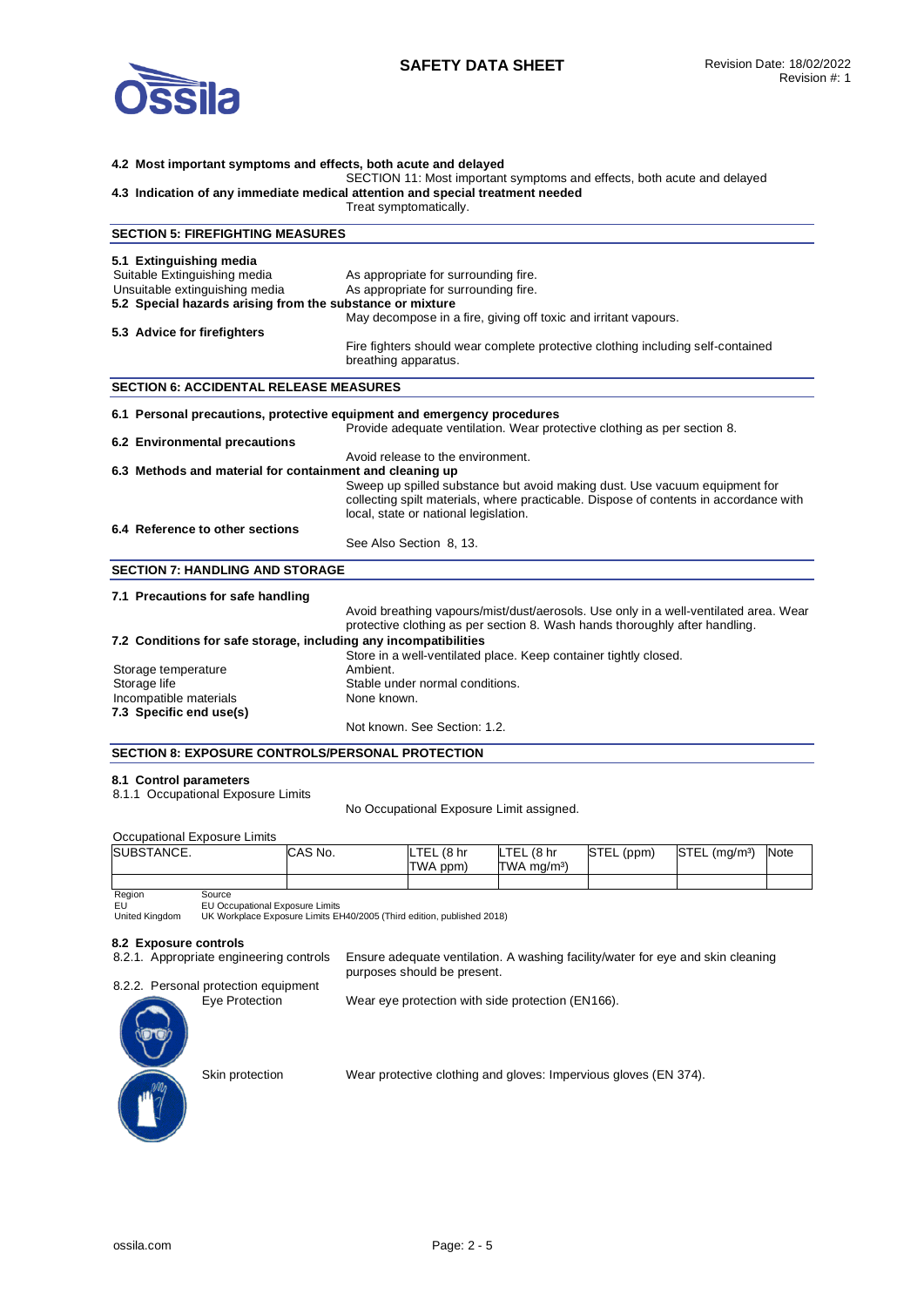

## **4.2 Most important symptoms and effects, both acute and delayed**  SECTION 11: Most important symptoms and effects, both acute and delayed **4.3 Indication of any immediate medical attention and special treatment needed**  Treat symptomatically. **SECTION 5: FIREFIGHTING MEASURES 5.1 Extinguishing media**  Suitable Extinguishing media As appropriate for surrounding fire. Unsuitable extinguishing media As appropriate for surrounding fire. **5.2 Special hazards arising from the substance or mixture**  May decompose in a fire, giving off toxic and irritant vapours. **5.3 Advice for firefighters**  Fire fighters should wear complete protective clothing including self-contained breathing apparatus. **SECTION 6: ACCIDENTAL RELEASE MEASURES 6.1 Personal precautions, protective equipment and emergency procedures**  Provide adequate ventilation. Wear protective clothing as per section 8. **6.2 Environmental precautions**  Avoid release to the environment. **6.3 Methods and material for containment and cleaning up**  Sweep up spilled substance but avoid making dust. Use vacuum equipment for collecting spilt materials, where practicable. Dispose of contents in accordance with local, state or national legislation. **6.4 Reference to other sections**  See Also Section 8, 13. **SECTION 7: HANDLING AND STORAGE 7.1 Precautions for safe handling**  Avoid breathing vapours/mist/dust/aerosols. Use only in a well-ventilated area. Wear protective clothing as per section 8. Wash hands thoroughly after handling. **7.2 Conditions for safe storage, including any incompatibilities**  Store in a well-ventilated place. Keep container tightly closed. Storage temperature Storage life Stable under normal conditions. Incompatible materials **None known**. **7.3 Specific end use(s)**  Not known. See Section: 1.2.

### **SECTION 8: EXPOSURE CONTROLS/PERSONAL PROTECTION**

### **8.1 Control parameters**

8.1.1 Occupational Exposure Limits

No Occupational Exposure Limit assigned.

Occupational Exposure Limits

| $\sim$             |         |                            |                           |            |                           |             |
|--------------------|---------|----------------------------|---------------------------|------------|---------------------------|-------------|
| <b>ISUBSTANCE.</b> | CAS No. | LTEL<br>(8 <sub>hr</sub> ) | LTEL (8 hr                | STEL (ppm) | STEL (mg/m <sup>3</sup> ) | <b>Note</b> |
|                    |         | TWA ppm)                   | $TWA$ ma/m <sup>3</sup> ) |            |                           |             |
|                    |         |                            |                           |            |                           |             |
| Region<br>Source   |         |                            |                           |            |                           |             |

Region

EU United Kingdom EU Occupational Exposure Limits UK Workplace Exposure Limits EH40/2005 (Third edition, published 2018)

**8.2 Exposure controls** 

Ensure adequate ventilation. A washing facility/water for eye and skin cleaning purposes should be present.

8.2.2. Personal protection equipment

Eye Protection Wear eye protection with side protection (EN166).

Skin protection Wear protective clothing and gloves: Impervious gloves (EN 374).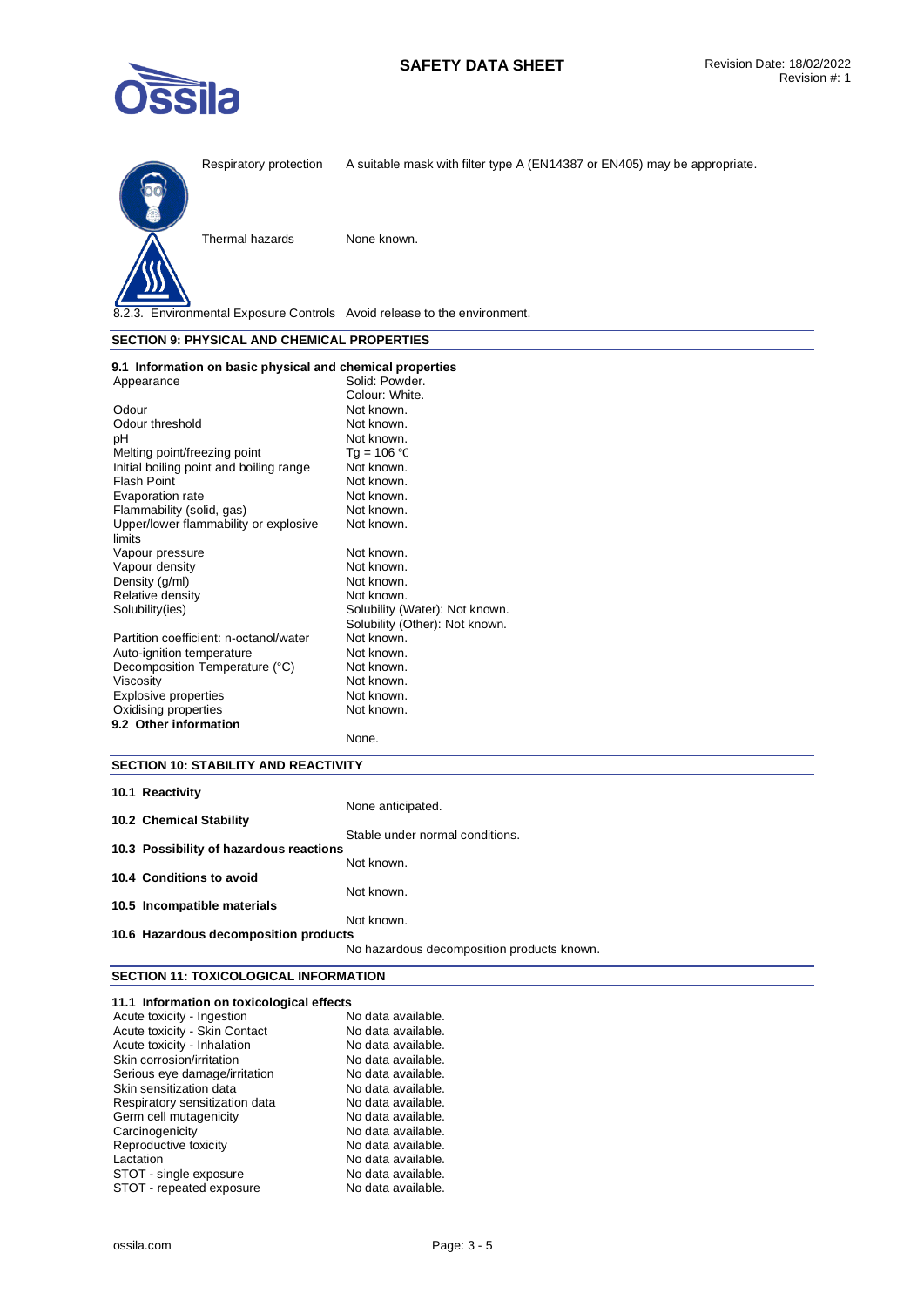



Respiratory protection A suitable mask with filter type A (EN14387 or EN405) may be appropriate.

Thermal hazards None known.

8.2.3. Environmental Exposure Controls Avoid release to the environment.

### **SECTION 9: PHYSICAL AND CHEMICAL PROPERTIES**

| 9.1 Information on basic physical and chemical properties |                                |
|-----------------------------------------------------------|--------------------------------|
| Appearance                                                | Solid: Powder.                 |
|                                                           | Colour: White.                 |
| Odour                                                     | Not known.                     |
| Odour threshold                                           | Not known.                     |
| рH                                                        | Not known.                     |
| Melting point/freezing point                              | Tg = $106 °C$                  |
| Initial boiling point and boiling range                   | Not known.                     |
| Flash Point                                               | Not known.                     |
| Evaporation rate                                          | Not known.                     |
| Flammability (solid, gas)                                 | Not known.                     |
| Upper/lower flammability or explosive                     | Not known.                     |
| limits                                                    |                                |
| Vapour pressure                                           | Not known.                     |
| Vapour density                                            | Not known.                     |
| Density (g/ml)                                            | Not known.                     |
| Relative density                                          | Not known.                     |
| Solubility(ies)                                           | Solubility (Water): Not known. |
|                                                           | Solubility (Other): Not known. |
| Partition coefficient: n-octanol/water                    | Not known.                     |
| Auto-ignition temperature                                 | Not known.                     |
| Decomposition Temperature (°C)                            | Not known.                     |
| Viscosity                                                 | Not known.                     |
| <b>Explosive properties</b>                               | Not known.                     |
| Oxidising properties                                      | Not known.                     |
| 9.2 Other information                                     |                                |
|                                                           | None.                          |

## **SECTION 10: STABILITY AND REACTIVITY**

| 10.1 Reactivity                         |                                            |
|-----------------------------------------|--------------------------------------------|
|                                         | None anticipated.                          |
| 10.2 Chemical Stability                 |                                            |
|                                         | Stable under normal conditions.            |
| 10.3 Possibility of hazardous reactions |                                            |
|                                         | Not known.                                 |
| 10.4 Conditions to avoid                |                                            |
|                                         | Not known.                                 |
| 10.5 Incompatible materials             |                                            |
|                                         | Not known.                                 |
| 10.6 Hazardous decomposition products   |                                            |
|                                         | No hazardous decomposition products known. |

## **SECTION 11: TOXICOLOGICAL INFORMATION 11.1 Information on toxicological effects**

| 11.1 Information on toxicological ellects |                    |
|-------------------------------------------|--------------------|
| Acute toxicity - Ingestion                | No data available. |
| Acute toxicity - Skin Contact             | No data available. |
| Acute toxicity - Inhalation               | No data available. |
| Skin corrosion/irritation                 | No data available. |
| Serious eye damage/irritation             | No data available. |
| Skin sensitization data                   | No data available. |
| Respiratory sensitization data            | No data available. |
| Germ cell mutagenicity                    | No data available. |
| Carcinogenicity                           | No data available. |
| Reproductive toxicity                     | No data available. |
| Lactation                                 | No data available. |
| STOT - single exposure                    | No data available. |
| STOT - repeated exposure                  | No data available. |
|                                           |                    |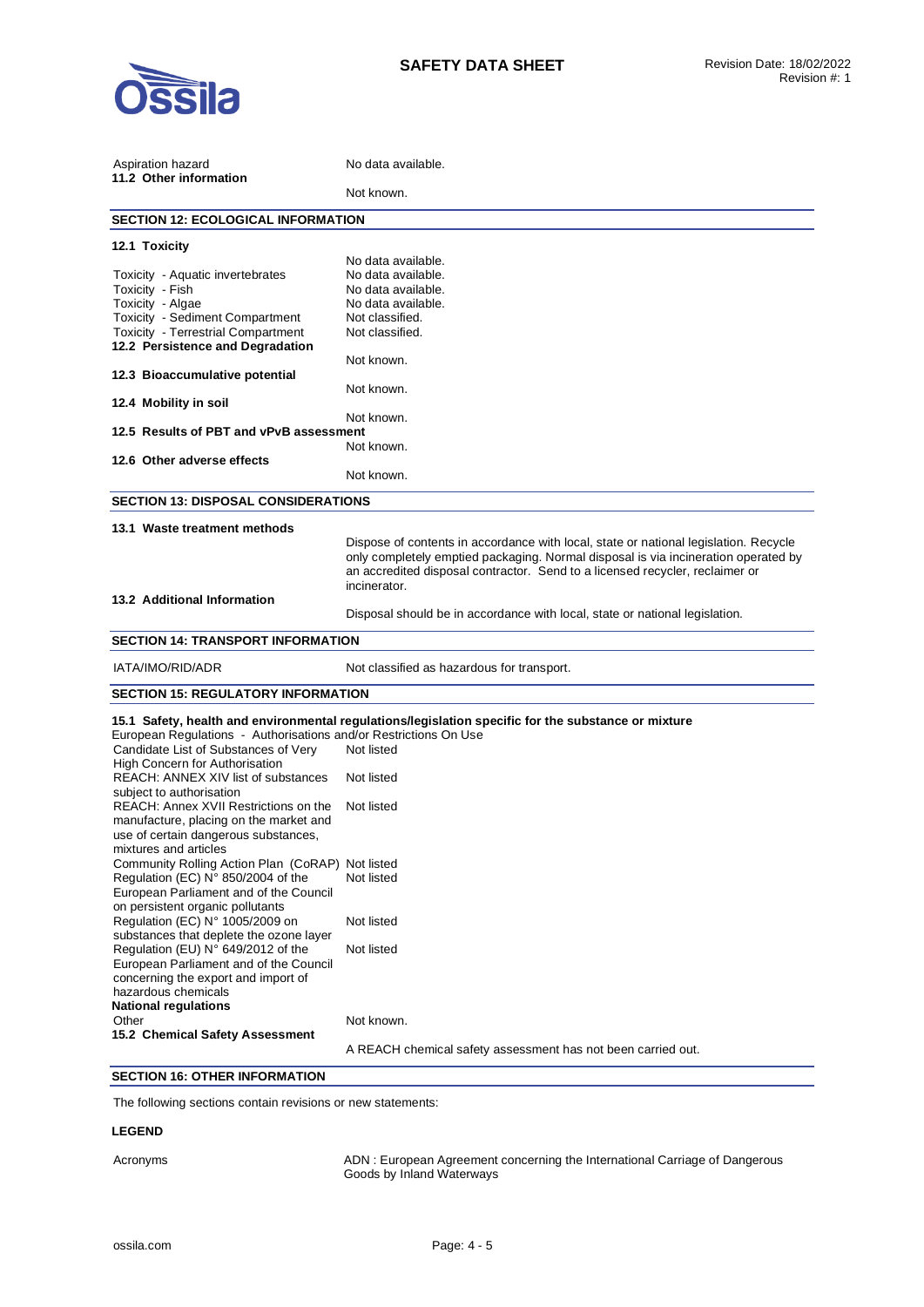

| Aspiration hazard<br>11.2 Other information                            | No data available.                                                                                  |  |  |
|------------------------------------------------------------------------|-----------------------------------------------------------------------------------------------------|--|--|
|                                                                        | Not known.                                                                                          |  |  |
| <b>SECTION 12: ECOLOGICAL INFORMATION</b>                              |                                                                                                     |  |  |
| 12.1 Toxicity                                                          |                                                                                                     |  |  |
|                                                                        | No data available.                                                                                  |  |  |
| Toxicity - Aquatic invertebrates                                       | No data available.                                                                                  |  |  |
| Toxicity - Fish                                                        | No data available.                                                                                  |  |  |
| Toxicity - Algae                                                       | No data available.                                                                                  |  |  |
| Toxicity - Sediment Compartment                                        | Not classified.                                                                                     |  |  |
| Toxicity - Terrestrial Compartment<br>12.2 Persistence and Degradation | Not classified.                                                                                     |  |  |
| 12.3 Bioaccumulative potential                                         | Not known.                                                                                          |  |  |
|                                                                        | Not known.                                                                                          |  |  |
| 12.4 Mobility in soil                                                  |                                                                                                     |  |  |
|                                                                        | Not known.                                                                                          |  |  |
| 12.5 Results of PBT and vPvB assessment                                |                                                                                                     |  |  |
|                                                                        | Not known.                                                                                          |  |  |
| 12.6 Other adverse effects                                             |                                                                                                     |  |  |
|                                                                        | Not known.                                                                                          |  |  |
| <b>SECTION 13: DISPOSAL CONSIDERATIONS</b>                             |                                                                                                     |  |  |
| 13.1 Waste treatment methods                                           |                                                                                                     |  |  |
|                                                                        | Dispose of contents in accordance with local, state or national legislation. Recycle                |  |  |
|                                                                        | only completely emptied packaging. Normal disposal is via incineration operated by                  |  |  |
|                                                                        | an accredited disposal contractor. Send to a licensed recycler, reclaimer or                        |  |  |
|                                                                        | incinerator.                                                                                        |  |  |
| 13.2 Additional Information                                            |                                                                                                     |  |  |
|                                                                        | Disposal should be in accordance with local, state or national legislation.                         |  |  |
| <b>SECTION 14: TRANSPORT INFORMATION</b>                               |                                                                                                     |  |  |
|                                                                        |                                                                                                     |  |  |
| IATA/IMO/RID/ADR                                                       | Not classified as hazardous for transport.                                                          |  |  |
| <b>SECTION 15: REGULATORY INFORMATION</b>                              |                                                                                                     |  |  |
|                                                                        | 15.1 Safety, health and environmental regulations/legislation specific for the substance or mixture |  |  |
| European Regulations - Authorisations and/or Restrictions On Use       |                                                                                                     |  |  |
| Candidate List of Substances of Very                                   | Not listed                                                                                          |  |  |
| <b>High Concern for Authorisation</b>                                  |                                                                                                     |  |  |
| REACH: ANNEX XIV list of substances                                    | Not listed                                                                                          |  |  |
| subject to authorisation<br>REACH: Annex XVII Restrictions on the      | Not listed                                                                                          |  |  |
| manufacture, placing on the market and                                 |                                                                                                     |  |  |
|                                                                        |                                                                                                     |  |  |
| use of certain dangerous substances,                                   |                                                                                                     |  |  |
| mixtures and articles                                                  |                                                                                                     |  |  |
| Community Rolling Action Plan (CoRAP) Not listed                       |                                                                                                     |  |  |
| Regulation (EC) N° 850/2004 of the                                     | Not listed                                                                                          |  |  |
| European Parliament and of the Council                                 |                                                                                                     |  |  |
| on persistent organic pollutants                                       |                                                                                                     |  |  |
| Regulation (EC) N° 1005/2009 on                                        | Not listed                                                                                          |  |  |
| substances that deplete the ozone layer                                |                                                                                                     |  |  |
| Regulation (EU) N° 649/2012 of the                                     | Not listed                                                                                          |  |  |
| European Parliament and of the Council                                 |                                                                                                     |  |  |
| concerning the export and import of                                    |                                                                                                     |  |  |
| hazardous chemicals                                                    |                                                                                                     |  |  |
| <b>National regulations</b>                                            |                                                                                                     |  |  |
| Other                                                                  | Not known.                                                                                          |  |  |
| 15.2 Chemical Safety Assessment                                        |                                                                                                     |  |  |
|                                                                        | A REACH chemical safety assessment has not been carried out.                                        |  |  |
|                                                                        |                                                                                                     |  |  |

# **SECTION 16: OTHER INFORMATION**

The following sections contain revisions or new statements:

## **LEGEND**

Acronyms ADN : European Agreement concerning the International Carriage of Dangerous Goods by Inland Waterways